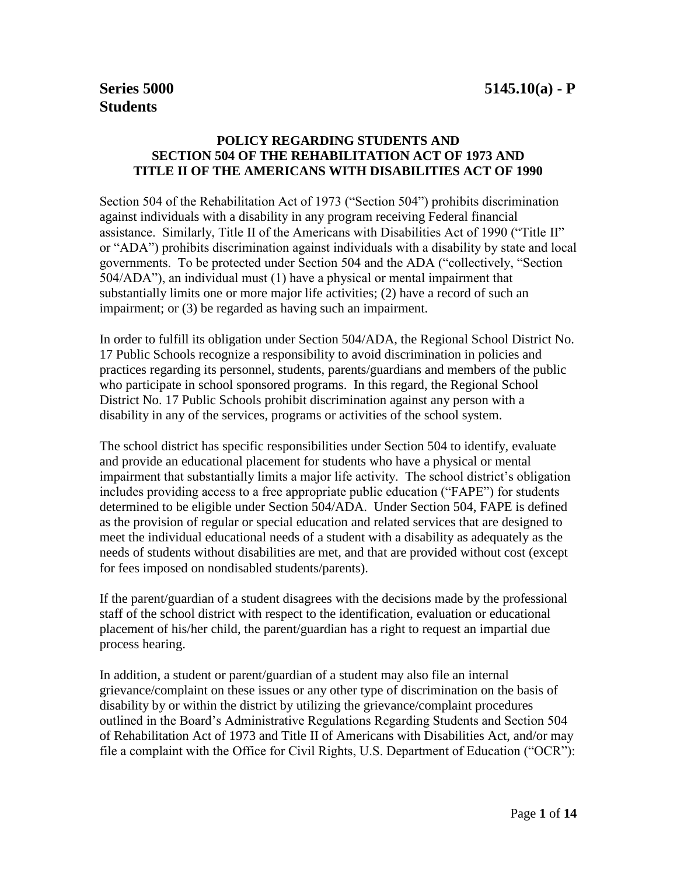# **POLICY REGARDING STUDENTS AND SECTION 504 OF THE REHABILITATION ACT OF 1973 AND TITLE II OF THE AMERICANS WITH DISABILITIES ACT OF 1990**

Section 504 of the Rehabilitation Act of 1973 ("Section 504") prohibits discrimination against individuals with a disability in any program receiving Federal financial assistance. Similarly, Title II of the Americans with Disabilities Act of 1990 ("Title II" or "ADA") prohibits discrimination against individuals with a disability by state and local governments. To be protected under Section 504 and the ADA ("collectively, "Section 504/ADA"), an individual must (1) have a physical or mental impairment that substantially limits one or more major life activities; (2) have a record of such an impairment; or (3) be regarded as having such an impairment.

In order to fulfill its obligation under Section 504/ADA, the Regional School District No. 17 Public Schools recognize a responsibility to avoid discrimination in policies and practices regarding its personnel, students, parents/guardians and members of the public who participate in school sponsored programs. In this regard, the Regional School District No. 17 Public Schools prohibit discrimination against any person with a disability in any of the services, programs or activities of the school system.

The school district has specific responsibilities under Section 504 to identify, evaluate and provide an educational placement for students who have a physical or mental impairment that substantially limits a major life activity. The school district's obligation includes providing access to a free appropriate public education ("FAPE") for students determined to be eligible under Section 504/ADA. Under Section 504, FAPE is defined as the provision of regular or special education and related services that are designed to meet the individual educational needs of a student with a disability as adequately as the needs of students without disabilities are met, and that are provided without cost (except for fees imposed on nondisabled students/parents).

If the parent/guardian of a student disagrees with the decisions made by the professional staff of the school district with respect to the identification, evaluation or educational placement of his/her child, the parent/guardian has a right to request an impartial due process hearing.

In addition, a student or parent/guardian of a student may also file an internal grievance/complaint on these issues or any other type of discrimination on the basis of disability by or within the district by utilizing the grievance/complaint procedures outlined in the Board's Administrative Regulations Regarding Students and Section 504 of Rehabilitation Act of 1973 and Title II of Americans with Disabilities Act, and/or may file a complaint with the Office for Civil Rights, U.S. Department of Education ("OCR"):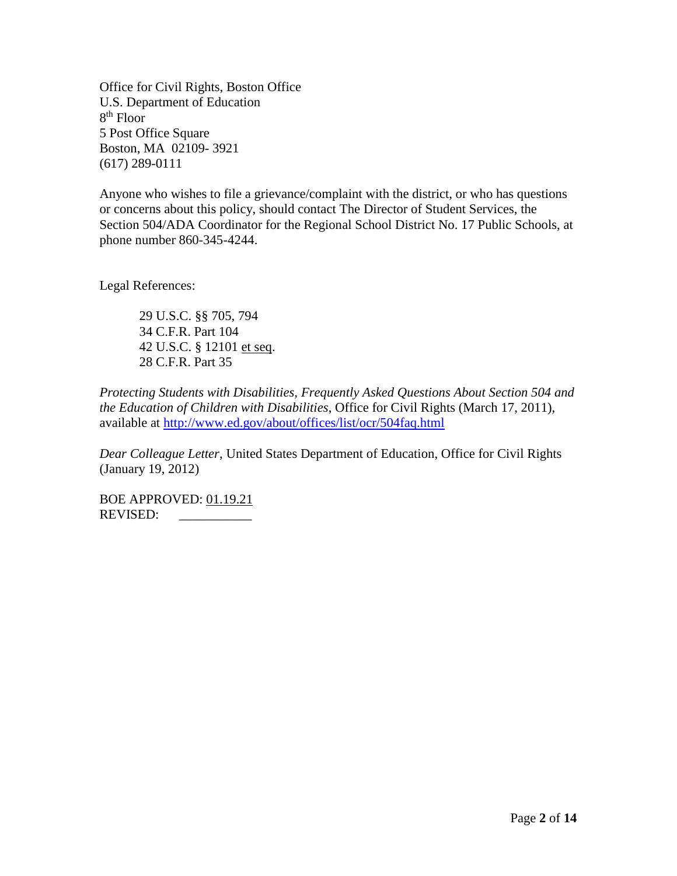Office for Civil Rights, Boston Office U.S. Department of Education 8 th Floor 5 Post Office Square Boston, MA 02109- 3921 (617) 289-0111

Anyone who wishes to file a grievance/complaint with the district, or who has questions or concerns about this policy, should contact The Director of Student Services, the Section 504/ADA Coordinator for the Regional School District No. 17 Public Schools, at phone number 860-345-4244.

Legal References:

29 U.S.C. §§ 705, 794 34 C.F.R. Part 104 42 U.S.C. § 12101 et seq. 28 C.F.R. Part 35

*Protecting Students with Disabilities, Frequently Asked Questions About Section 504 and the Education of Children with Disabilities*, Office for Civil Rights (March 17, 2011), available at<http://www.ed.gov/about/offices/list/ocr/504faq.html>

*Dear Colleague Letter*, United States Department of Education, Office for Civil Rights (January 19, 2012)

BOE APPROVED: 01.19.21 REVISED: \_\_\_\_\_\_\_\_\_\_\_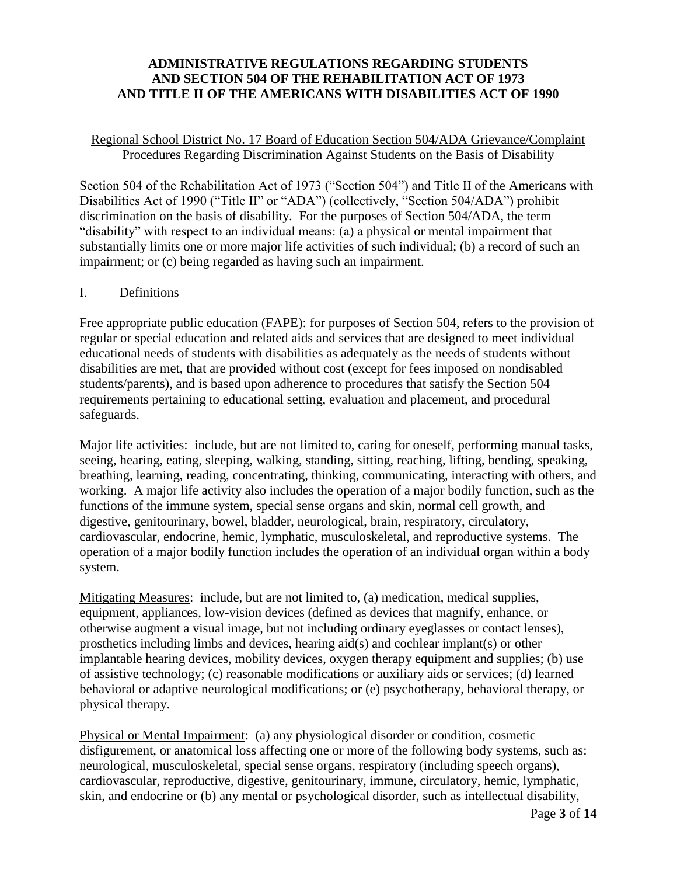# **ADMINISTRATIVE REGULATIONS REGARDING STUDENTS AND SECTION 504 OF THE REHABILITATION ACT OF 1973 AND TITLE II OF THE AMERICANS WITH DISABILITIES ACT OF 1990**

#### Regional School District No. 17 Board of Education Section 504/ADA Grievance/Complaint Procedures Regarding Discrimination Against Students on the Basis of Disability

Section 504 of the Rehabilitation Act of 1973 ("Section 504") and Title II of the Americans with Disabilities Act of 1990 ("Title II" or "ADA") (collectively, "Section 504/ADA") prohibit discrimination on the basis of disability. For the purposes of Section 504/ADA, the term "disability" with respect to an individual means: (a) a physical or mental impairment that substantially limits one or more major life activities of such individual; (b) a record of such an impairment; or (c) being regarded as having such an impairment.

#### I. Definitions

Free appropriate public education (FAPE): for purposes of Section 504, refers to the provision of regular or special education and related aids and services that are designed to meet individual educational needs of students with disabilities as adequately as the needs of students without disabilities are met, that are provided without cost (except for fees imposed on nondisabled students/parents), and is based upon adherence to procedures that satisfy the Section 504 requirements pertaining to educational setting, evaluation and placement, and procedural safeguards.

Major life activities: include, but are not limited to, caring for oneself, performing manual tasks, seeing, hearing, eating, sleeping, walking, standing, sitting, reaching, lifting, bending, speaking, breathing, learning, reading, concentrating, thinking, communicating, interacting with others, and working. A major life activity also includes the operation of a major bodily function, such as the functions of the immune system, special sense organs and skin, normal cell growth, and digestive, genitourinary, bowel, bladder, neurological, brain, respiratory, circulatory, cardiovascular, endocrine, hemic, lymphatic, musculoskeletal, and reproductive systems. The operation of a major bodily function includes the operation of an individual organ within a body system.

Mitigating Measures:include, but are not limited to, (a) medication, medical supplies, equipment, appliances, low-vision devices (defined as devices that magnify, enhance, or otherwise augment a visual image, but not including ordinary eyeglasses or contact lenses), prosthetics including limbs and devices, hearing aid(s) and cochlear implant(s) or other implantable hearing devices, mobility devices, oxygen therapy equipment and supplies; (b) use of assistive technology; (c) reasonable modifications or auxiliary aids or services; (d) learned behavioral or adaptive neurological modifications; or (e) psychotherapy, behavioral therapy, or physical therapy.

Physical or Mental Impairment:(a) any physiological disorder or condition, cosmetic disfigurement, or anatomical loss affecting one or more of the following body systems, such as: neurological, musculoskeletal, special sense organs, respiratory (including speech organs), cardiovascular, reproductive, digestive, genitourinary, immune, circulatory, hemic, lymphatic, skin, and endocrine or (b) any mental or psychological disorder, such as intellectual disability,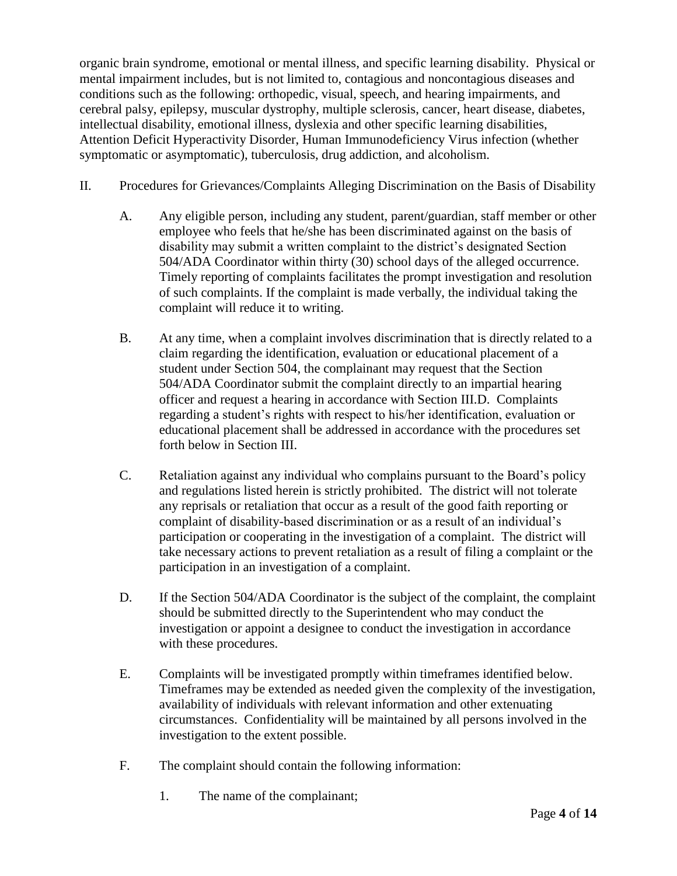organic brain syndrome, emotional or mental illness, and specific learning disability. Physical or mental impairment includes, but is not limited to, contagious and noncontagious diseases and conditions such as the following: orthopedic, visual, speech, and hearing impairments, and cerebral palsy, epilepsy, muscular dystrophy, multiple sclerosis, cancer, heart disease, diabetes, intellectual disability, emotional illness, dyslexia and other specific learning disabilities, Attention Deficit Hyperactivity Disorder, Human Immunodeficiency Virus infection (whether symptomatic or asymptomatic), tuberculosis, drug addiction, and alcoholism.

- II. Procedures for Grievances/Complaints Alleging Discrimination on the Basis of Disability
	- A. Any eligible person, including any student, parent/guardian, staff member or other employee who feels that he/she has been discriminated against on the basis of disability may submit a written complaint to the district's designated Section 504/ADA Coordinator within thirty (30) school days of the alleged occurrence. Timely reporting of complaints facilitates the prompt investigation and resolution of such complaints. If the complaint is made verbally, the individual taking the complaint will reduce it to writing.
	- B. At any time, when a complaint involves discrimination that is directly related to a claim regarding the identification, evaluation or educational placement of a student under Section 504, the complainant may request that the Section 504/ADA Coordinator submit the complaint directly to an impartial hearing officer and request a hearing in accordance with Section III.D. Complaints regarding a student's rights with respect to his/her identification, evaluation or educational placement shall be addressed in accordance with the procedures set forth below in Section III.
	- C. Retaliation against any individual who complains pursuant to the Board's policy and regulations listed herein is strictly prohibited. The district will not tolerate any reprisals or retaliation that occur as a result of the good faith reporting or complaint of disability-based discrimination or as a result of an individual's participation or cooperating in the investigation of a complaint. The district will take necessary actions to prevent retaliation as a result of filing a complaint or the participation in an investigation of a complaint.
	- D. If the Section 504/ADA Coordinator is the subject of the complaint, the complaint should be submitted directly to the Superintendent who may conduct the investigation or appoint a designee to conduct the investigation in accordance with these procedures.
	- E. Complaints will be investigated promptly within timeframes identified below. Timeframes may be extended as needed given the complexity of the investigation, availability of individuals with relevant information and other extenuating circumstances. Confidentiality will be maintained by all persons involved in the investigation to the extent possible.
	- F. The complaint should contain the following information:
		- 1. The name of the complainant;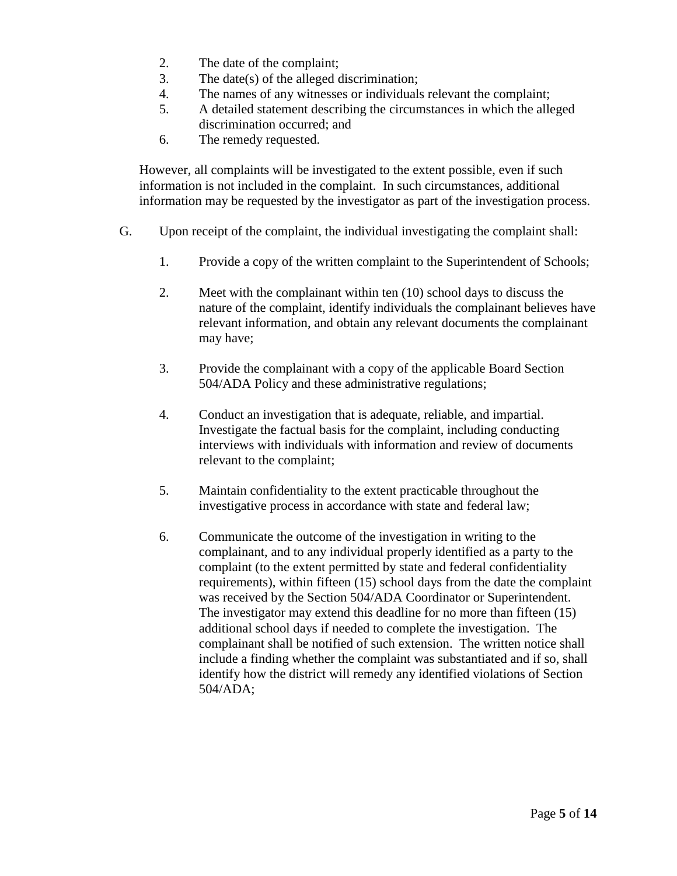- 2. The date of the complaint;
- 3. The date(s) of the alleged discrimination;
- 4. The names of any witnesses or individuals relevant the complaint;
- 5. A detailed statement describing the circumstances in which the alleged discrimination occurred; and
- 6. The remedy requested.

However, all complaints will be investigated to the extent possible, even if such information is not included in the complaint. In such circumstances, additional information may be requested by the investigator as part of the investigation process.

- G. Upon receipt of the complaint, the individual investigating the complaint shall:
	- 1. Provide a copy of the written complaint to the Superintendent of Schools;
	- 2. Meet with the complainant within ten (10) school days to discuss the nature of the complaint, identify individuals the complainant believes have relevant information, and obtain any relevant documents the complainant may have;
	- 3. Provide the complainant with a copy of the applicable Board Section 504/ADA Policy and these administrative regulations;
	- 4. Conduct an investigation that is adequate, reliable, and impartial. Investigate the factual basis for the complaint, including conducting interviews with individuals with information and review of documents relevant to the complaint;
	- 5. Maintain confidentiality to the extent practicable throughout the investigative process in accordance with state and federal law;
	- 6. Communicate the outcome of the investigation in writing to the complainant, and to any individual properly identified as a party to the complaint (to the extent permitted by state and federal confidentiality requirements), within fifteen (15) school days from the date the complaint was received by the Section 504/ADA Coordinator or Superintendent. The investigator may extend this deadline for no more than fifteen (15) additional school days if needed to complete the investigation. The complainant shall be notified of such extension. The written notice shall include a finding whether the complaint was substantiated and if so, shall identify how the district will remedy any identified violations of Section 504/ADA;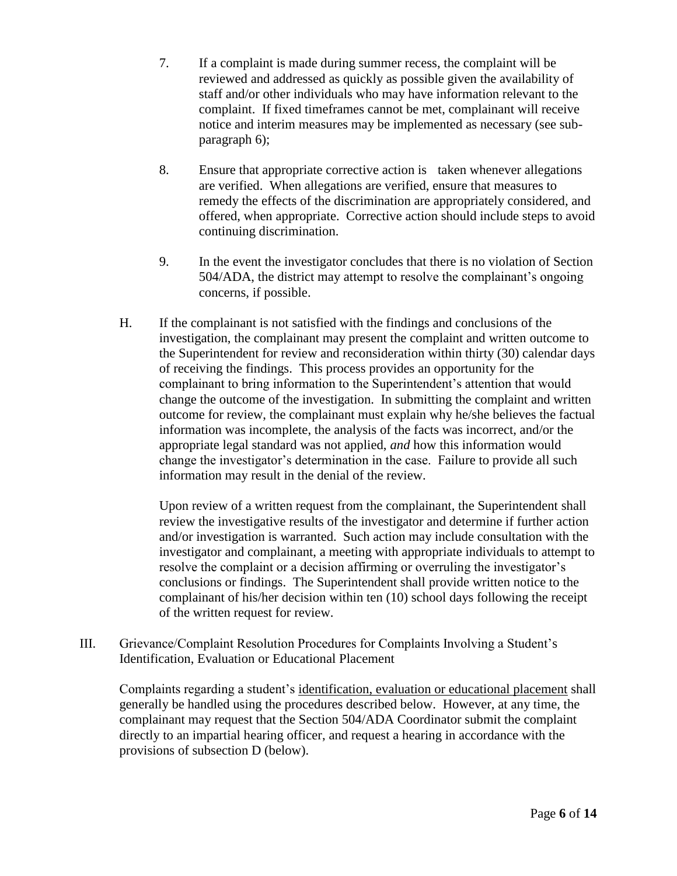- 7. If a complaint is made during summer recess, the complaint will be reviewed and addressed as quickly as possible given the availability of staff and/or other individuals who may have information relevant to the complaint. If fixed timeframes cannot be met, complainant will receive notice and interim measures may be implemented as necessary (see subparagraph 6);
- 8. Ensure that appropriate corrective action is taken whenever allegations are verified. When allegations are verified, ensure that measures to remedy the effects of the discrimination are appropriately considered, and offered, when appropriate. Corrective action should include steps to avoid continuing discrimination.
- 9. In the event the investigator concludes that there is no violation of Section 504/ADA, the district may attempt to resolve the complainant's ongoing concerns, if possible.
- H. If the complainant is not satisfied with the findings and conclusions of the investigation, the complainant may present the complaint and written outcome to the Superintendent for review and reconsideration within thirty (30) calendar days of receiving the findings. This process provides an opportunity for the complainant to bring information to the Superintendent's attention that would change the outcome of the investigation. In submitting the complaint and written outcome for review, the complainant must explain why he/she believes the factual information was incomplete, the analysis of the facts was incorrect, and/or the appropriate legal standard was not applied, *and* how this information would change the investigator's determination in the case. Failure to provide all such information may result in the denial of the review.

Upon review of a written request from the complainant, the Superintendent shall review the investigative results of the investigator and determine if further action and/or investigation is warranted. Such action may include consultation with the investigator and complainant, a meeting with appropriate individuals to attempt to resolve the complaint or a decision affirming or overruling the investigator's conclusions or findings. The Superintendent shall provide written notice to the complainant of his/her decision within ten (10) school days following the receipt of the written request for review.

III. Grievance/Complaint Resolution Procedures for Complaints Involving a Student's Identification, Evaluation or Educational Placement

Complaints regarding a student's identification, evaluation or educational placement shall generally be handled using the procedures described below. However, at any time, the complainant may request that the Section 504/ADA Coordinator submit the complaint directly to an impartial hearing officer, and request a hearing in accordance with the provisions of subsection D (below).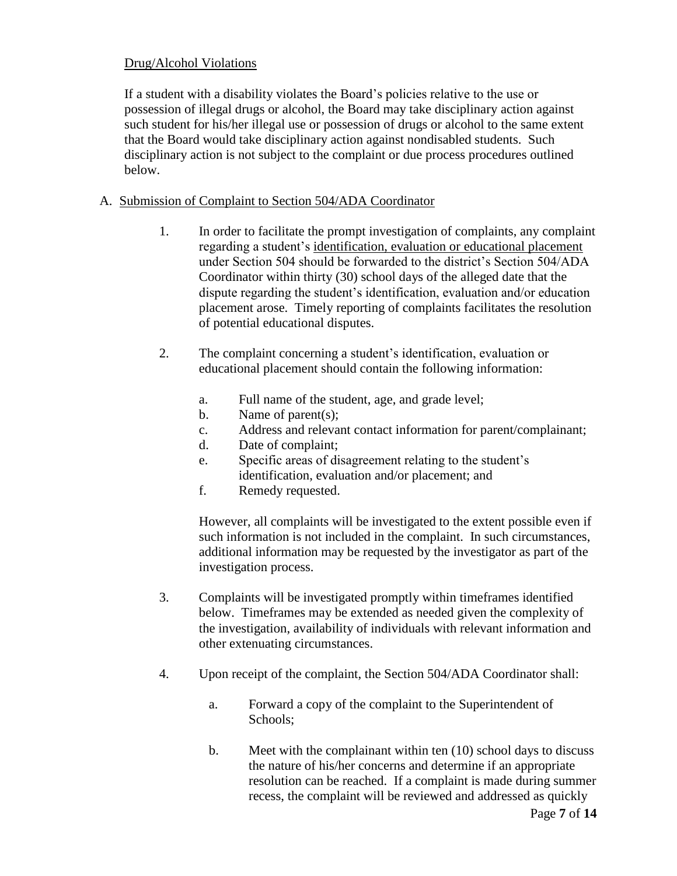# Drug/Alcohol Violations

If a student with a disability violates the Board's policies relative to the use or possession of illegal drugs or alcohol, the Board may take disciplinary action against such student for his/her illegal use or possession of drugs or alcohol to the same extent that the Board would take disciplinary action against nondisabled students. Such disciplinary action is not subject to the complaint or due process procedures outlined below.

- A. Submission of Complaint to Section 504/ADA Coordinator
	- 1. In order to facilitate the prompt investigation of complaints, any complaint regarding a student's identification, evaluation or educational placement under Section 504 should be forwarded to the district's Section 504/ADA Coordinator within thirty (30) school days of the alleged date that the dispute regarding the student's identification, evaluation and/or education placement arose. Timely reporting of complaints facilitates the resolution of potential educational disputes.
	- 2. The complaint concerning a student's identification, evaluation or educational placement should contain the following information:
		- a. Full name of the student, age, and grade level;
		- b. Name of parent(s):
		- c. Address and relevant contact information for parent/complainant;
		- d. Date of complaint;
		- e. Specific areas of disagreement relating to the student's identification, evaluation and/or placement; and
		- f. Remedy requested.

However, all complaints will be investigated to the extent possible even if such information is not included in the complaint. In such circumstances, additional information may be requested by the investigator as part of the investigation process.

- 3. Complaints will be investigated promptly within timeframes identified below. Timeframes may be extended as needed given the complexity of the investigation, availability of individuals with relevant information and other extenuating circumstances.
- 4. Upon receipt of the complaint, the Section 504/ADA Coordinator shall:
	- a. Forward a copy of the complaint to the Superintendent of Schools;
	- b. Meet with the complainant within ten (10) school days to discuss the nature of his/her concerns and determine if an appropriate resolution can be reached. If a complaint is made during summer recess, the complaint will be reviewed and addressed as quickly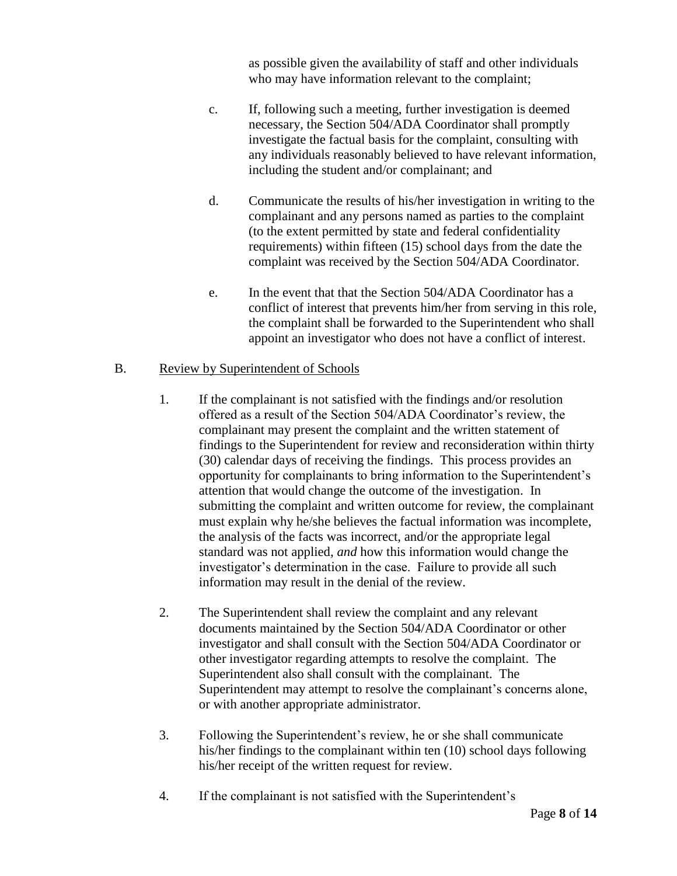as possible given the availability of staff and other individuals who may have information relevant to the complaint;

- c. If, following such a meeting, further investigation is deemed necessary, the Section 504/ADA Coordinator shall promptly investigate the factual basis for the complaint, consulting with any individuals reasonably believed to have relevant information, including the student and/or complainant; and
- d. Communicate the results of his/her investigation in writing to the complainant and any persons named as parties to the complaint (to the extent permitted by state and federal confidentiality requirements) within fifteen (15) school days from the date the complaint was received by the Section 504/ADA Coordinator.
- e. In the event that that the Section 504/ADA Coordinator has a conflict of interest that prevents him/her from serving in this role, the complaint shall be forwarded to the Superintendent who shall appoint an investigator who does not have a conflict of interest.

# B. Review by Superintendent of Schools

- 1. If the complainant is not satisfied with the findings and/or resolution offered as a result of the Section 504/ADA Coordinator's review, the complainant may present the complaint and the written statement of findings to the Superintendent for review and reconsideration within thirty (30) calendar days of receiving the findings. This process provides an opportunity for complainants to bring information to the Superintendent's attention that would change the outcome of the investigation. In submitting the complaint and written outcome for review, the complainant must explain why he/she believes the factual information was incomplete, the analysis of the facts was incorrect, and/or the appropriate legal standard was not applied, *and* how this information would change the investigator's determination in the case. Failure to provide all such information may result in the denial of the review.
- 2. The Superintendent shall review the complaint and any relevant documents maintained by the Section 504/ADA Coordinator or other investigator and shall consult with the Section 504/ADA Coordinator or other investigator regarding attempts to resolve the complaint. The Superintendent also shall consult with the complainant. The Superintendent may attempt to resolve the complainant's concerns alone, or with another appropriate administrator.
- 3. Following the Superintendent's review, he or she shall communicate his/her findings to the complainant within ten (10) school days following his/her receipt of the written request for review.
- 4. If the complainant is not satisfied with the Superintendent's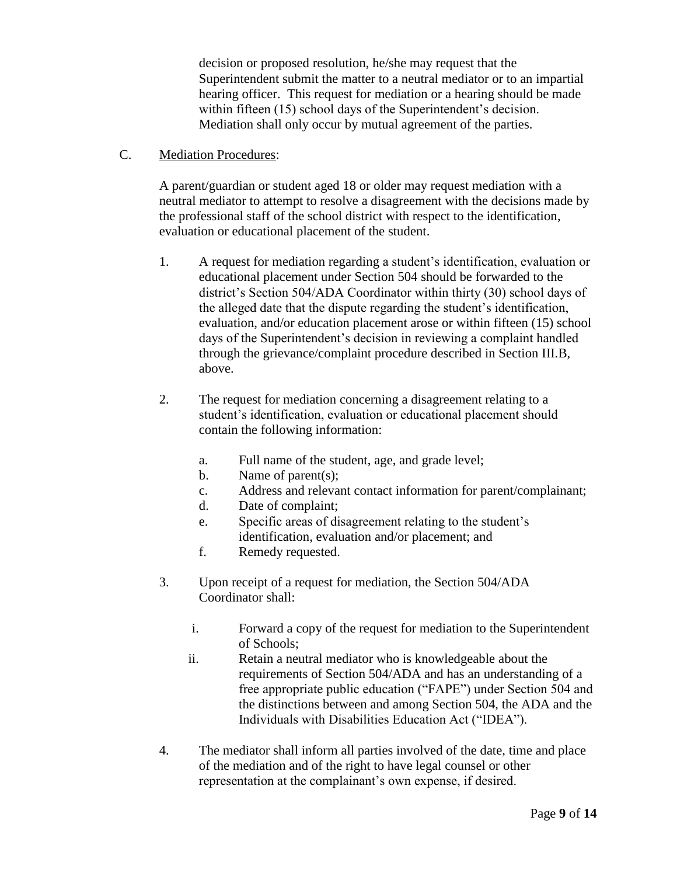decision or proposed resolution, he/she may request that the Superintendent submit the matter to a neutral mediator or to an impartial hearing officer. This request for mediation or a hearing should be made within fifteen (15) school days of the Superintendent's decision. Mediation shall only occur by mutual agreement of the parties.

C. Mediation Procedures:

A parent/guardian or student aged 18 or older may request mediation with a neutral mediator to attempt to resolve a disagreement with the decisions made by the professional staff of the school district with respect to the identification, evaluation or educational placement of the student.

- 1. A request for mediation regarding a student's identification, evaluation or educational placement under Section 504 should be forwarded to the district's Section 504/ADA Coordinator within thirty (30) school days of the alleged date that the dispute regarding the student's identification, evaluation, and/or education placement arose or within fifteen (15) school days of the Superintendent's decision in reviewing a complaint handled through the grievance/complaint procedure described in Section III.B, above.
- 2. The request for mediation concerning a disagreement relating to a student's identification, evaluation or educational placement should contain the following information:
	- a. Full name of the student, age, and grade level;
	- b. Name of parent(s);
	- c. Address and relevant contact information for parent/complainant;
	- d. Date of complaint;
	- e. Specific areas of disagreement relating to the student's identification, evaluation and/or placement; and
	- f. Remedy requested.
- 3. Upon receipt of a request for mediation, the Section 504/ADA Coordinator shall:
	- i. Forward a copy of the request for mediation to the Superintendent of Schools;
	- ii. Retain a neutral mediator who is knowledgeable about the requirements of Section 504/ADA and has an understanding of a free appropriate public education ("FAPE") under Section 504 and the distinctions between and among Section 504, the ADA and the Individuals with Disabilities Education Act ("IDEA").
- 4. The mediator shall inform all parties involved of the date, time and place of the mediation and of the right to have legal counsel or other representation at the complainant's own expense, if desired.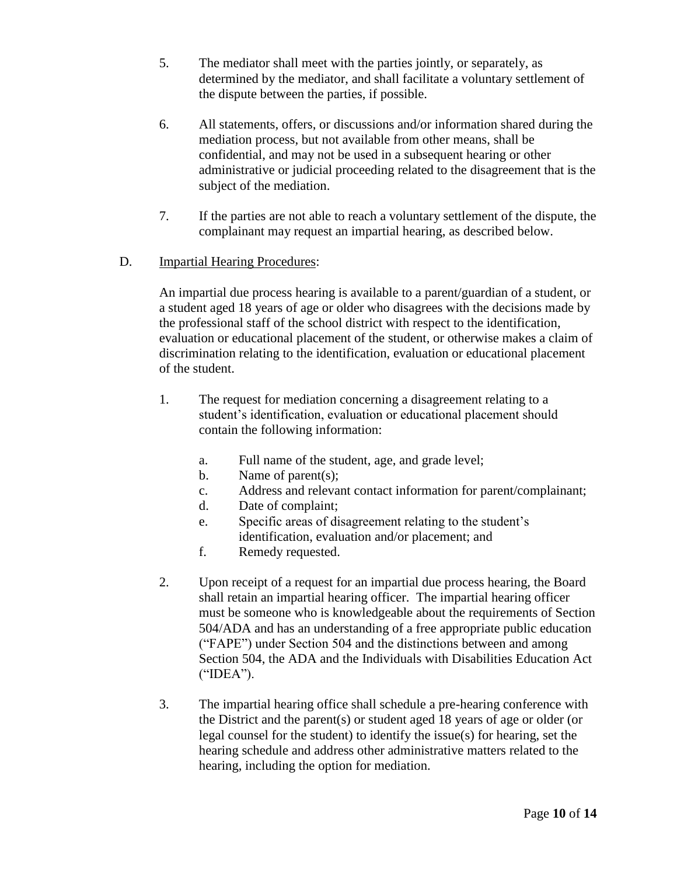- 5. The mediator shall meet with the parties jointly, or separately, as determined by the mediator, and shall facilitate a voluntary settlement of the dispute between the parties, if possible.
- 6. All statements, offers, or discussions and/or information shared during the mediation process, but not available from other means, shall be confidential, and may not be used in a subsequent hearing or other administrative or judicial proceeding related to the disagreement that is the subject of the mediation.
- 7. If the parties are not able to reach a voluntary settlement of the dispute, the complainant may request an impartial hearing, as described below.

# D. Impartial Hearing Procedures:

An impartial due process hearing is available to a parent/guardian of a student, or a student aged 18 years of age or older who disagrees with the decisions made by the professional staff of the school district with respect to the identification, evaluation or educational placement of the student, or otherwise makes a claim of discrimination relating to the identification, evaluation or educational placement of the student.

- 1. The request for mediation concerning a disagreement relating to a student's identification, evaluation or educational placement should contain the following information:
	- a. Full name of the student, age, and grade level;
	- b. Name of parent(s);
	- c. Address and relevant contact information for parent/complainant;
	- d. Date of complaint;
	- e. Specific areas of disagreement relating to the student's identification, evaluation and/or placement; and
	- f. Remedy requested.
- 2. Upon receipt of a request for an impartial due process hearing, the Board shall retain an impartial hearing officer. The impartial hearing officer must be someone who is knowledgeable about the requirements of Section 504/ADA and has an understanding of a free appropriate public education ("FAPE") under Section 504 and the distinctions between and among Section 504, the ADA and the Individuals with Disabilities Education Act ("IDEA").
- 3. The impartial hearing office shall schedule a pre-hearing conference with the District and the parent(s) or student aged 18 years of age or older (or legal counsel for the student) to identify the issue(s) for hearing, set the hearing schedule and address other administrative matters related to the hearing, including the option for mediation.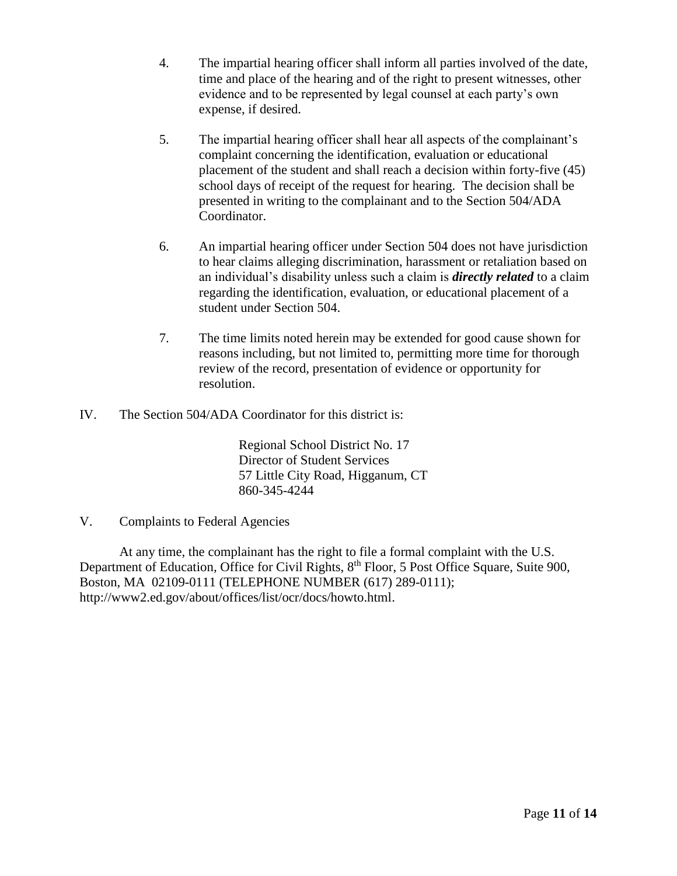- 4. The impartial hearing officer shall inform all parties involved of the date, time and place of the hearing and of the right to present witnesses, other evidence and to be represented by legal counsel at each party's own expense, if desired.
- 5. The impartial hearing officer shall hear all aspects of the complainant's complaint concerning the identification, evaluation or educational placement of the student and shall reach a decision within forty-five (45) school days of receipt of the request for hearing. The decision shall be presented in writing to the complainant and to the Section 504/ADA Coordinator.
- 6. An impartial hearing officer under Section 504 does not have jurisdiction to hear claims alleging discrimination, harassment or retaliation based on an individual's disability unless such a claim is *directly related* to a claim regarding the identification, evaluation, or educational placement of a student under Section 504.
- 7. The time limits noted herein may be extended for good cause shown for reasons including, but not limited to, permitting more time for thorough review of the record, presentation of evidence or opportunity for resolution.
- IV. The Section 504/ADA Coordinator for this district is:

Regional School District No. 17 Director of Student Services 57 Little City Road, Higganum, CT 860-345-4244

# V. Complaints to Federal Agencies

At any time, the complainant has the right to file a formal complaint with the U.S. Department of Education, Office for Civil Rights, 8<sup>th</sup> Floor, 5 Post Office Square, Suite 900, Boston, MA 02109-0111 (TELEPHONE NUMBER (617) 289-0111); http://www2.ed.gov/about/offices/list/ocr/docs/howto.html.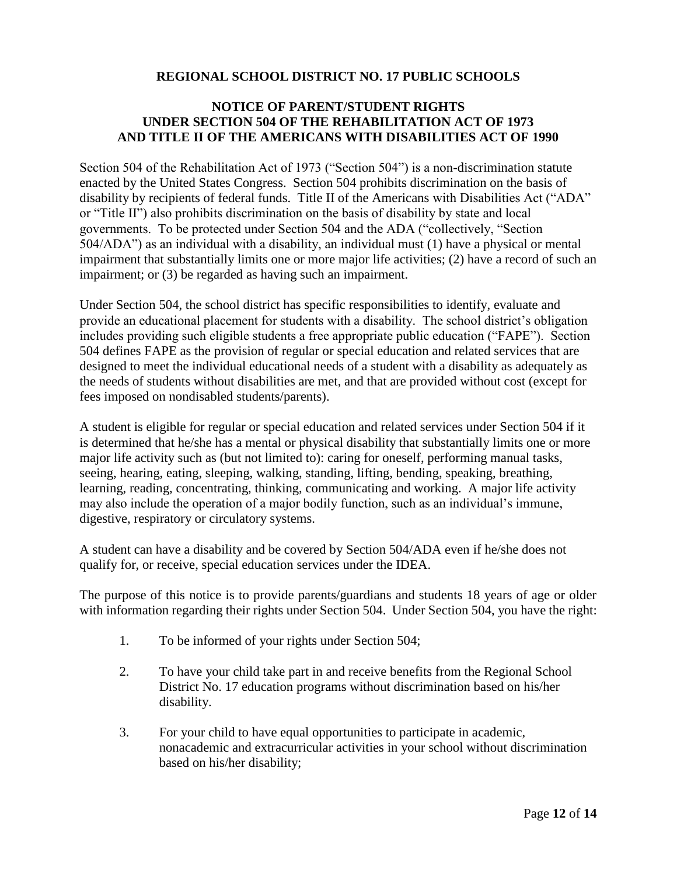# **REGIONAL SCHOOL DISTRICT NO. 17 PUBLIC SCHOOLS**

#### **NOTICE OF PARENT/STUDENT RIGHTS UNDER SECTION 504 OF THE REHABILITATION ACT OF 1973 AND TITLE II OF THE AMERICANS WITH DISABILITIES ACT OF 1990**

Section 504 of the Rehabilitation Act of 1973 ("Section 504") is a non-discrimination statute enacted by the United States Congress. Section 504 prohibits discrimination on the basis of disability by recipients of federal funds. Title II of the Americans with Disabilities Act ("ADA" or "Title II") also prohibits discrimination on the basis of disability by state and local governments. To be protected under Section 504 and the ADA ("collectively, "Section 504/ADA") as an individual with a disability, an individual must (1) have a physical or mental impairment that substantially limits one or more major life activities; (2) have a record of such an impairment; or (3) be regarded as having such an impairment.

Under Section 504, the school district has specific responsibilities to identify, evaluate and provide an educational placement for students with a disability. The school district's obligation includes providing such eligible students a free appropriate public education ("FAPE"). Section 504 defines FAPE as the provision of regular or special education and related services that are designed to meet the individual educational needs of a student with a disability as adequately as the needs of students without disabilities are met, and that are provided without cost (except for fees imposed on nondisabled students/parents).

A student is eligible for regular or special education and related services under Section 504 if it is determined that he/she has a mental or physical disability that substantially limits one or more major life activity such as (but not limited to): caring for oneself, performing manual tasks, seeing, hearing, eating, sleeping, walking, standing, lifting, bending, speaking, breathing, learning, reading, concentrating, thinking, communicating and working. A major life activity may also include the operation of a major bodily function, such as an individual's immune, digestive, respiratory or circulatory systems.

A student can have a disability and be covered by Section 504/ADA even if he/she does not qualify for, or receive, special education services under the IDEA.

The purpose of this notice is to provide parents/guardians and students 18 years of age or older with information regarding their rights under Section 504. Under Section 504, you have the right:

- 1. To be informed of your rights under Section 504;
- 2. To have your child take part in and receive benefits from the Regional School District No. 17 education programs without discrimination based on his/her disability.
- 3. For your child to have equal opportunities to participate in academic, nonacademic and extracurricular activities in your school without discrimination based on his/her disability;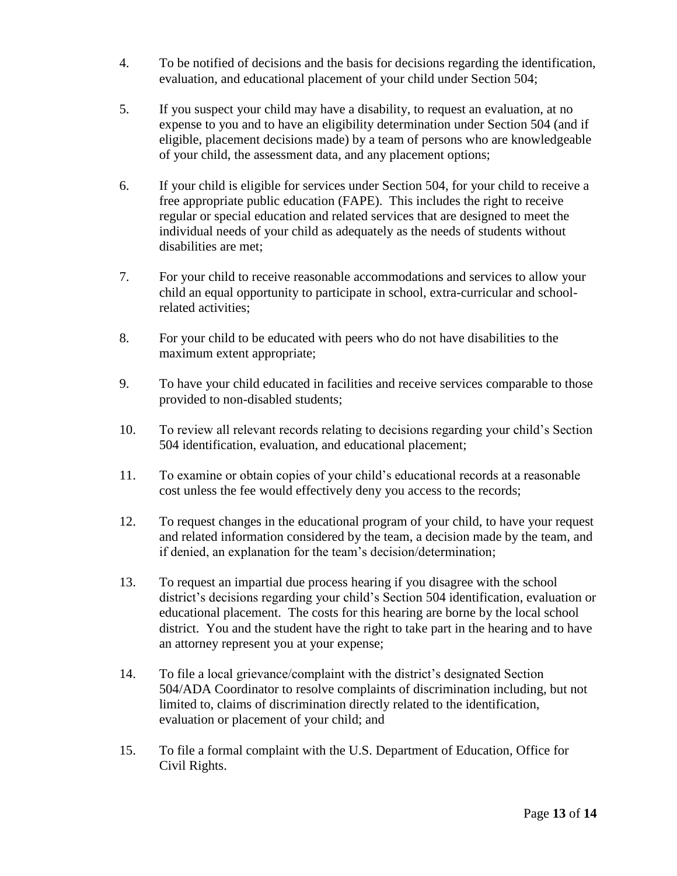- 4. To be notified of decisions and the basis for decisions regarding the identification, evaluation, and educational placement of your child under Section 504;
- 5. If you suspect your child may have a disability, to request an evaluation, at no expense to you and to have an eligibility determination under Section 504 (and if eligible, placement decisions made) by a team of persons who are knowledgeable of your child, the assessment data, and any placement options;
- 6. If your child is eligible for services under Section 504, for your child to receive a free appropriate public education (FAPE). This includes the right to receive regular or special education and related services that are designed to meet the individual needs of your child as adequately as the needs of students without disabilities are met;
- 7. For your child to receive reasonable accommodations and services to allow your child an equal opportunity to participate in school, extra-curricular and schoolrelated activities;
- 8. For your child to be educated with peers who do not have disabilities to the maximum extent appropriate;
- 9. To have your child educated in facilities and receive services comparable to those provided to non-disabled students;
- 10. To review all relevant records relating to decisions regarding your child's Section 504 identification, evaluation, and educational placement;
- 11. To examine or obtain copies of your child's educational records at a reasonable cost unless the fee would effectively deny you access to the records;
- 12. To request changes in the educational program of your child, to have your request and related information considered by the team, a decision made by the team, and if denied, an explanation for the team's decision/determination;
- 13. To request an impartial due process hearing if you disagree with the school district's decisions regarding your child's Section 504 identification, evaluation or educational placement. The costs for this hearing are borne by the local school district. You and the student have the right to take part in the hearing and to have an attorney represent you at your expense;
- 14. To file a local grievance/complaint with the district's designated Section 504/ADA Coordinator to resolve complaints of discrimination including, but not limited to, claims of discrimination directly related to the identification, evaluation or placement of your child; and
- 15. To file a formal complaint with the U.S. Department of Education, Office for Civil Rights.